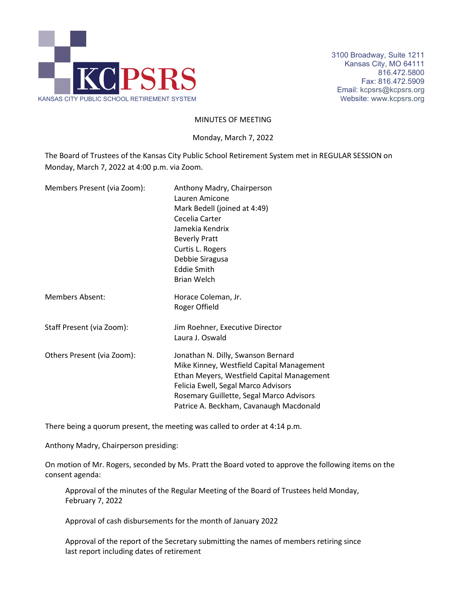

#### MINUTES OF MEETING

Monday, March 7, 2022

The Board of Trustees of the Kansas City Public School Retirement System met in REGULAR SESSION on Monday, March 7, 2022 at 4:00 p.m. via Zoom.

| Members Present (via Zoom): | Anthony Madry, Chairperson<br>Lauren Amicone<br>Mark Bedell (joined at 4:49)<br>Cecelia Carter<br>Jamekia Kendrix<br><b>Beverly Pratt</b><br>Curtis L. Rogers<br>Debbie Siragusa<br><b>Eddie Smith</b><br><b>Brian Welch</b>                                |
|-----------------------------|-------------------------------------------------------------------------------------------------------------------------------------------------------------------------------------------------------------------------------------------------------------|
| <b>Members Absent:</b>      | Horace Coleman, Jr.<br>Roger Offield                                                                                                                                                                                                                        |
| Staff Present (via Zoom):   | Jim Roehner, Executive Director<br>Laura J. Oswald                                                                                                                                                                                                          |
| Others Present (via Zoom):  | Jonathan N. Dilly, Swanson Bernard<br>Mike Kinney, Westfield Capital Management<br>Ethan Meyers, Westfield Capital Management<br>Felicia Ewell, Segal Marco Advisors<br>Rosemary Guillette, Segal Marco Advisors<br>Patrice A. Beckham, Cavanaugh Macdonald |

There being a quorum present, the meeting was called to order at 4:14 p.m.

Anthony Madry, Chairperson presiding:

On motion of Mr. Rogers, seconded by Ms. Pratt the Board voted to approve the following items on the consent agenda:

Approval of the minutes of the Regular Meeting of the Board of Trustees held Monday, February 7, 2022

Approval of cash disbursements for the month of January 2022

Approval of the report of the Secretary submitting the names of members retiring since last report including dates of retirement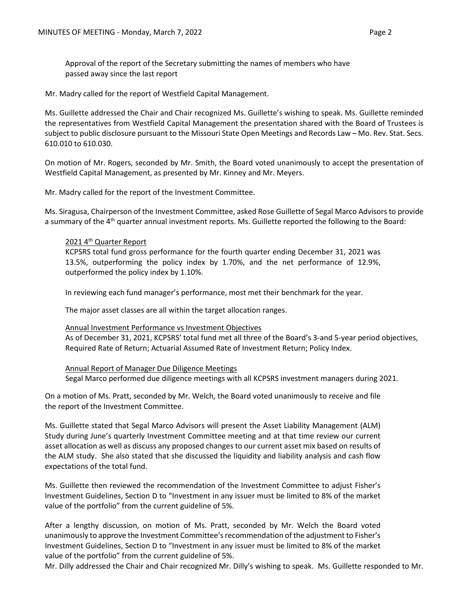Approval of the report of the Secretary submitting the names of members who have passed away since the last report

Mr. Madry called for the report of Westfield Capital Management.

Ms. Guillette addressed the Chair and Chair recognized Ms. Guillette's wishing to speak. Ms. Guillette reminded the representatives from Westfield Capital Management the presentation shared with the Board of Trustees is subject to public disclosure pursuant to the Missouri State Open Meetings and Records Law – Mo. Rev. Stat. Secs. 610.010 to 610.030.

On motion of Mr. Rogers, seconded by Mr. Smith, the Board voted unanimously to accept the presentation of Westfield Capital Management, as presented by Mr. Kinney and Mr. Meyers.

Mr. Madry called for the report of the Investment Committee.

Ms. Siragusa, Chairperson of the Investment Committee, asked Rose Guillette of Segal Marco Advisors to provide a summary of the 4<sup>th</sup> quarter annual investment reports. Ms. Guillette reported the following to the Board:

# 2021 4<sup>th</sup> Quarter Report

KCPSRS total fund gross performance for the fourth quarter ending December 31, 2021 was 13.5%, outperforming the policy index by 1.70%, and the net performance of 12.9%, outperformed the policy index by 1.10%.

In reviewing each fund manager's performance, most met their benchmark for the year.

The major asset classes are all within the target allocation ranges.

### Annual Investment Performance vs Investment Objectives

As of December 31, 2021, KCPSRS' total fund met all three of the Board's 3-and 5-year period objectives, Required Rate of Return; Actuarial Assumed Rate of Investment Return; Policy Index.

#### Annual Report of Manager Due Diligence Meetings

Segal Marco performed due diligence meetings with all KCPSRS investment managers during 2021.

On a motion of Ms. Pratt, seconded by Mr. Welch, the Board voted unanimously to receive and file the report of the Investment Committee.

Ms. Guillette stated that Segal Marco Advisors will present the Asset Liability Management (ALM) Study during June's quarterly Investment Committee meeting and at that time review our current asset allocation as well as discuss any proposed changes to our current asset mix based on results of the ALM study. She also stated that she discussed the liquidity and liability analysis and cash flow expectations of the total fund.

Ms. Guillette then reviewed the recommendation of the Investment Committee to adjust Fisher's Investment Guidelines, Section D to "Investment in any issuer must be limited to 8% of the market value of the portfolio" from the current guideline of 5%.

After a lengthy discussion, on motion of Ms. Pratt, seconded by Mr. Welch the Board voted unanimously to approve the Investment Committee's recommendation of the adjustment to Fisher's Investment Guidelines, Section D to "Investment in any issuer must be limited to 8% of the market value of the portfolio" from the current guideline of 5%.

Mr. Dilly addressed the Chair and Chair recognized Mr. Dilly's wishing to speak. Ms. Guillette responded to Mr.